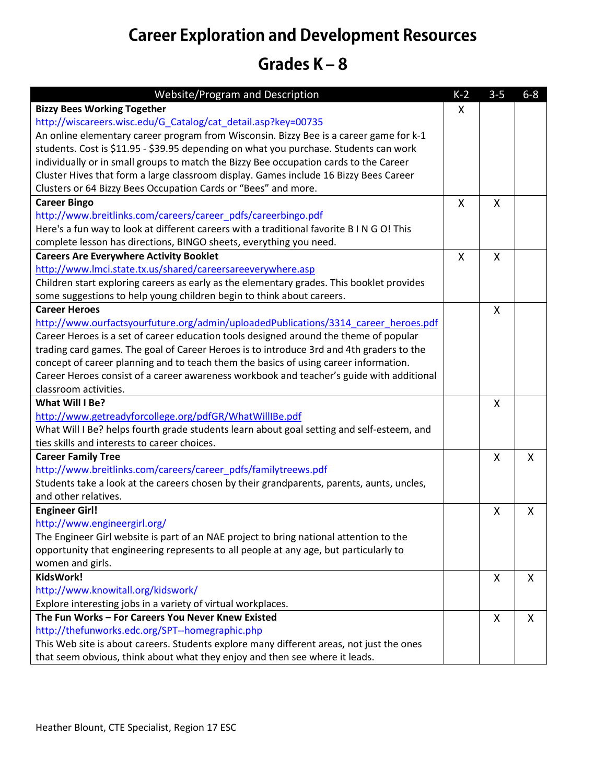## **Career Exploration and Development Resources**

## Grades  $K - 8$

| <b>Website/Program and Description</b>                                                    | $K-2$ | $3 - 5$ | $6 - 8$ |
|-------------------------------------------------------------------------------------------|-------|---------|---------|
| <b>Bizzy Bees Working Together</b>                                                        | X     |         |         |
| http://wiscareers.wisc.edu/G_Catalog/cat_detail.asp?key=00735                             |       |         |         |
| An online elementary career program from Wisconsin. Bizzy Bee is a career game for k-1    |       |         |         |
| students. Cost is \$11.95 - \$39.95 depending on what you purchase. Students can work     |       |         |         |
| individually or in small groups to match the Bizzy Bee occupation cards to the Career     |       |         |         |
| Cluster Hives that form a large classroom display. Games include 16 Bizzy Bees Career     |       |         |         |
| Clusters or 64 Bizzy Bees Occupation Cards or "Bees" and more.                            |       |         |         |
| <b>Career Bingo</b>                                                                       | X     | X       |         |
| http://www.breitlinks.com/careers/career_pdfs/careerbingo.pdf                             |       |         |         |
| Here's a fun way to look at different careers with a traditional favorite B I N G O! This |       |         |         |
| complete lesson has directions, BINGO sheets, everything you need.                        |       |         |         |
| <b>Careers Are Everywhere Activity Booklet</b>                                            | X     | Χ       |         |
| http://www.lmci.state.tx.us/shared/careersareeverywhere.asp                               |       |         |         |
| Children start exploring careers as early as the elementary grades. This booklet provides |       |         |         |
| some suggestions to help young children begin to think about careers.                     |       |         |         |
| <b>Career Heroes</b>                                                                      |       | Χ       |         |
| http://www.ourfactsyourfuture.org/admin/uploadedPublications/3314_career_heroes.pdf       |       |         |         |
| Career Heroes is a set of career education tools designed around the theme of popular     |       |         |         |
| trading card games. The goal of Career Heroes is to introduce 3rd and 4th graders to the  |       |         |         |
| concept of career planning and to teach them the basics of using career information.      |       |         |         |
| Career Heroes consist of a career awareness workbook and teacher's guide with additional  |       |         |         |
| classroom activities.                                                                     |       |         |         |
| What Will I Be?                                                                           |       | X       |         |
| http://www.getreadyforcollege.org/pdfGR/WhatWillIBe.pdf                                   |       |         |         |
| What Will I Be? helps fourth grade students learn about goal setting and self-esteem, and |       |         |         |
| ties skills and interests to career choices.                                              |       |         |         |
| <b>Career Family Tree</b>                                                                 |       | X       | X       |
| http://www.breitlinks.com/careers/career_pdfs/familytreews.pdf                            |       |         |         |
| Students take a look at the careers chosen by their grandparents, parents, aunts, uncles, |       |         |         |
| and other relatives.                                                                      |       |         |         |
| <b>Engineer Girl!</b>                                                                     |       | Χ       | $\sf X$ |
| http://www.engineergirl.org/                                                              |       |         |         |
| The Engineer Girl website is part of an NAE project to bring national attention to the    |       |         |         |
| opportunity that engineering represents to all people at any age, but particularly to     |       |         |         |
| women and girls.                                                                          |       |         |         |
| KidsWork!                                                                                 |       | X       | X       |
| http://www.knowitall.org/kidswork/                                                        |       |         |         |
| Explore interesting jobs in a variety of virtual workplaces.                              |       |         |         |
| The Fun Works - For Careers You Never Knew Existed                                        |       | Χ       | X       |
| http://thefunworks.edc.org/SPT--homegraphic.php                                           |       |         |         |
| This Web site is about careers. Students explore many different areas, not just the ones  |       |         |         |
| that seem obvious, think about what they enjoy and then see where it leads.               |       |         |         |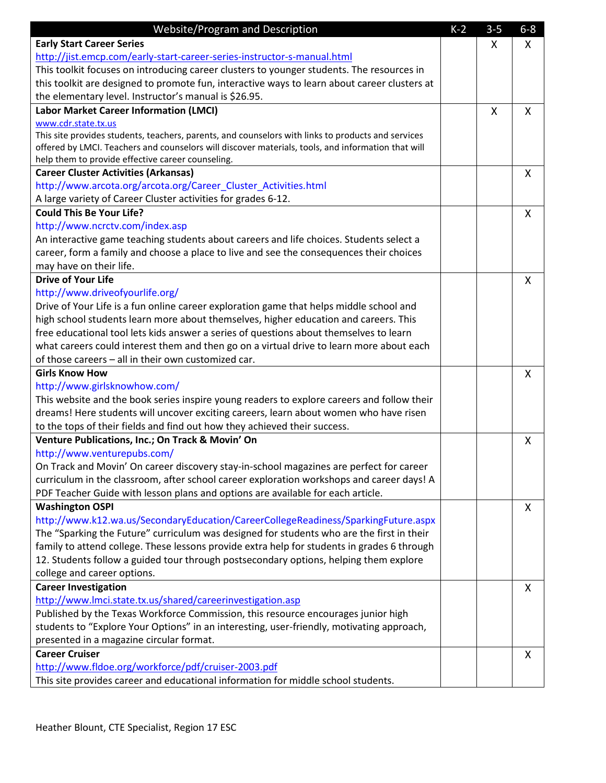| Website/Program and Description                                                                                                                                                     | $K-2$ | $3 - 5$ | $6 - 8$ |
|-------------------------------------------------------------------------------------------------------------------------------------------------------------------------------------|-------|---------|---------|
| <b>Early Start Career Series</b>                                                                                                                                                    |       | X       | X       |
| http://jist.emcp.com/early-start-career-series-instructor-s-manual.html                                                                                                             |       |         |         |
| This toolkit focuses on introducing career clusters to younger students. The resources in                                                                                           |       |         |         |
| this toolkit are designed to promote fun, interactive ways to learn about career clusters at                                                                                        |       |         |         |
| the elementary level. Instructor's manual is \$26.95.                                                                                                                               |       |         |         |
| <b>Labor Market Career Information (LMCI)</b>                                                                                                                                       |       | X       | X       |
| www.cdr.state.tx.us                                                                                                                                                                 |       |         |         |
| This site provides students, teachers, parents, and counselors with links to products and services                                                                                  |       |         |         |
| offered by LMCI. Teachers and counselors will discover materials, tools, and information that will                                                                                  |       |         |         |
| help them to provide effective career counseling.                                                                                                                                   |       |         |         |
| <b>Career Cluster Activities (Arkansas)</b>                                                                                                                                         |       |         | X       |
| http://www.arcota.org/arcota.org/Career_Cluster_Activities.html                                                                                                                     |       |         |         |
| A large variety of Career Cluster activities for grades 6-12.<br><b>Could This Be Your Life?</b>                                                                                    |       |         |         |
|                                                                                                                                                                                     |       |         | X       |
| http://www.ncrctv.com/index.asp                                                                                                                                                     |       |         |         |
| An interactive game teaching students about careers and life choices. Students select a                                                                                             |       |         |         |
| career, form a family and choose a place to live and see the consequences their choices                                                                                             |       |         |         |
| may have on their life.                                                                                                                                                             |       |         |         |
| <b>Drive of Your Life</b>                                                                                                                                                           |       |         | X       |
| http://www.driveofyourlife.org/                                                                                                                                                     |       |         |         |
| Drive of Your Life is a fun online career exploration game that helps middle school and                                                                                             |       |         |         |
| high school students learn more about themselves, higher education and careers. This                                                                                                |       |         |         |
| free educational tool lets kids answer a series of questions about themselves to learn                                                                                              |       |         |         |
| what careers could interest them and then go on a virtual drive to learn more about each                                                                                            |       |         |         |
| of those careers - all in their own customized car.                                                                                                                                 |       |         |         |
| <b>Girls Know How</b>                                                                                                                                                               |       |         | X       |
| http://www.girlsknowhow.com/                                                                                                                                                        |       |         |         |
| This website and the book series inspire young readers to explore careers and follow their<br>dreams! Here students will uncover exciting careers, learn about women who have risen |       |         |         |
| to the tops of their fields and find out how they achieved their success.                                                                                                           |       |         |         |
| Venture Publications, Inc.; On Track & Movin' On                                                                                                                                    |       |         |         |
| http://www.venturepubs.com/                                                                                                                                                         |       |         | X       |
| On Track and Movin' On career discovery stay-in-school magazines are perfect for career                                                                                             |       |         |         |
| curriculum in the classroom, after school career exploration workshops and career days! A                                                                                           |       |         |         |
| PDF Teacher Guide with lesson plans and options are available for each article.                                                                                                     |       |         |         |
| <b>Washington OSPI</b>                                                                                                                                                              |       |         | X       |
| http://www.k12.wa.us/SecondaryEducation/CareerCollegeReadiness/SparkingFuture.aspx                                                                                                  |       |         |         |
| The "Sparking the Future" curriculum was designed for students who are the first in their                                                                                           |       |         |         |
| family to attend college. These lessons provide extra help for students in grades 6 through                                                                                         |       |         |         |
| 12. Students follow a guided tour through postsecondary options, helping them explore                                                                                               |       |         |         |
| college and career options.                                                                                                                                                         |       |         |         |
| <b>Career Investigation</b>                                                                                                                                                         |       |         | X       |
| http://www.lmci.state.tx.us/shared/careerinvestigation.asp                                                                                                                          |       |         |         |
| Published by the Texas Workforce Commission, this resource encourages junior high                                                                                                   |       |         |         |
| students to "Explore Your Options" in an interesting, user-friendly, motivating approach,                                                                                           |       |         |         |
| presented in a magazine circular format.                                                                                                                                            |       |         |         |
| <b>Career Cruiser</b>                                                                                                                                                               |       |         | X       |
| http://www.fldoe.org/workforce/pdf/cruiser-2003.pdf                                                                                                                                 |       |         |         |
| This site provides career and educational information for middle school students.                                                                                                   |       |         |         |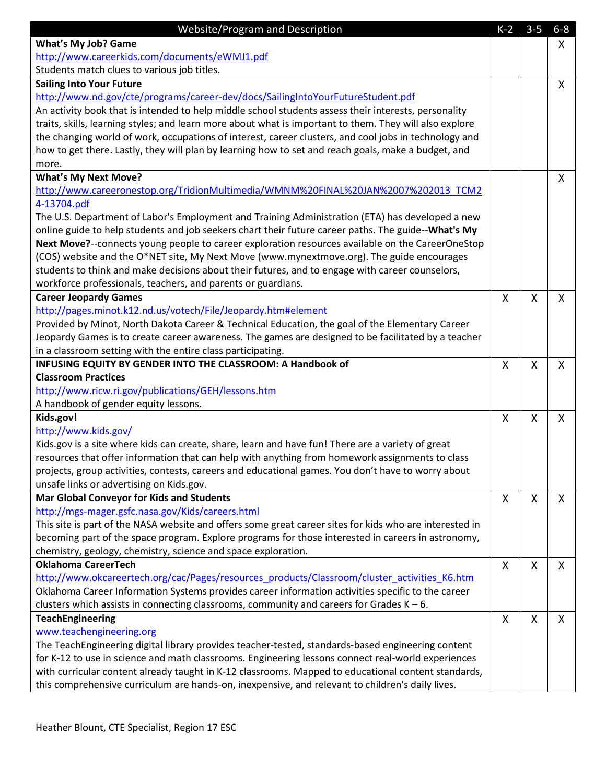| Website/Program and Description                                                                         | $K-2$                     | $3-5$        | $6-8$                     |
|---------------------------------------------------------------------------------------------------------|---------------------------|--------------|---------------------------|
| <b>What's My Job? Game</b>                                                                              |                           |              | X                         |
| http://www.careerkids.com/documents/eWMJ1.pdf                                                           |                           |              |                           |
| Students match clues to various job titles.                                                             |                           |              |                           |
| <b>Sailing Into Your Future</b>                                                                         |                           |              | X                         |
| http://www.nd.gov/cte/programs/career-dev/docs/SailingIntoYourFutureStudent.pdf                         |                           |              |                           |
| An activity book that is intended to help middle school students assess their interests, personality    |                           |              |                           |
| traits, skills, learning styles; and learn more about what is important to them. They will also explore |                           |              |                           |
| the changing world of work, occupations of interest, career clusters, and cool jobs in technology and   |                           |              |                           |
| how to get there. Lastly, they will plan by learning how to set and reach goals, make a budget, and     |                           |              |                           |
| more.                                                                                                   |                           |              |                           |
| <b>What's My Next Move?</b>                                                                             |                           |              | $\mathsf{X}$              |
| http://www.careeronestop.org/TridionMultimedia/WMNM%20FINAL%20JAN%2007%202013 TCM2                      |                           |              |                           |
| 4-13704.pdf                                                                                             |                           |              |                           |
| The U.S. Department of Labor's Employment and Training Administration (ETA) has developed a new         |                           |              |                           |
| online guide to help students and job seekers chart their future career paths. The guide--What's My     |                           |              |                           |
| Next Move?--connects young people to career exploration resources available on the CareerOneStop        |                           |              |                           |
| (COS) website and the O*NET site, My Next Move (www.mynextmove.org). The guide encourages               |                           |              |                           |
| students to think and make decisions about their futures, and to engage with career counselors,         |                           |              |                           |
| workforce professionals, teachers, and parents or guardians.                                            |                           |              |                           |
| <b>Career Jeopardy Games</b>                                                                            | X                         | X            | X                         |
| http://pages.minot.k12.nd.us/votech/File/Jeopardy.htm#element                                           |                           |              |                           |
| Provided by Minot, North Dakota Career & Technical Education, the goal of the Elementary Career         |                           |              |                           |
| Jeopardy Games is to create career awareness. The games are designed to be facilitated by a teacher     |                           |              |                           |
| in a classroom setting with the entire class participating.                                             |                           |              |                           |
| INFUSING EQUITY BY GENDER INTO THE CLASSROOM: A Handbook of                                             | $\boldsymbol{\mathsf{X}}$ | $\mathsf{X}$ | $\boldsymbol{\mathsf{X}}$ |
| <b>Classroom Practices</b>                                                                              |                           |              |                           |
| http://www.ricw.ri.gov/publications/GEH/lessons.htm                                                     |                           |              |                           |
| A handbook of gender equity lessons.                                                                    |                           |              |                           |
| Kids.gov!                                                                                               | $\mathsf{X}$              | $\mathsf{X}$ | $\mathsf{x}$              |
| http://www.kids.gov/                                                                                    |                           |              |                           |
| Kids.gov is a site where kids can create, share, learn and have fun! There are a variety of great       |                           |              |                           |
| resources that offer information that can help with anything from homework assignments to class         |                           |              |                           |
| projects, group activities, contests, careers and educational games. You don't have to worry about      |                           |              |                           |
| unsafe links or advertising on Kids.gov.                                                                |                           |              |                           |
| <b>Mar Global Conveyor for Kids and Students</b>                                                        | X                         | X            | X                         |
| http://mgs-mager.gsfc.nasa.gov/Kids/careers.html                                                        |                           |              |                           |
| This site is part of the NASA website and offers some great career sites for kids who are interested in |                           |              |                           |
| becoming part of the space program. Explore programs for those interested in careers in astronomy,      |                           |              |                           |
| chemistry, geology, chemistry, science and space exploration.                                           |                           |              |                           |
| <b>Oklahoma CareerTech</b>                                                                              | X                         | X            | X                         |
| http://www.okcareertech.org/cac/Pages/resources_products/Classroom/cluster_activities_K6.htm            |                           |              |                           |
| Oklahoma Career Information Systems provides career information activities specific to the career       |                           |              |                           |
| clusters which assists in connecting classrooms, community and careers for Grades $K - 6$ .             |                           |              |                           |
| <b>TeachEngineering</b>                                                                                 | X                         | X            | X                         |
| www.teachengineering.org                                                                                |                           |              |                           |
| The TeachEngineering digital library provides teacher-tested, standards-based engineering content       |                           |              |                           |
| for K-12 to use in science and math classrooms. Engineering lessons connect real-world experiences      |                           |              |                           |
| with curricular content already taught in K-12 classrooms. Mapped to educational content standards,     |                           |              |                           |
| this comprehensive curriculum are hands-on, inexpensive, and relevant to children's daily lives.        |                           |              |                           |